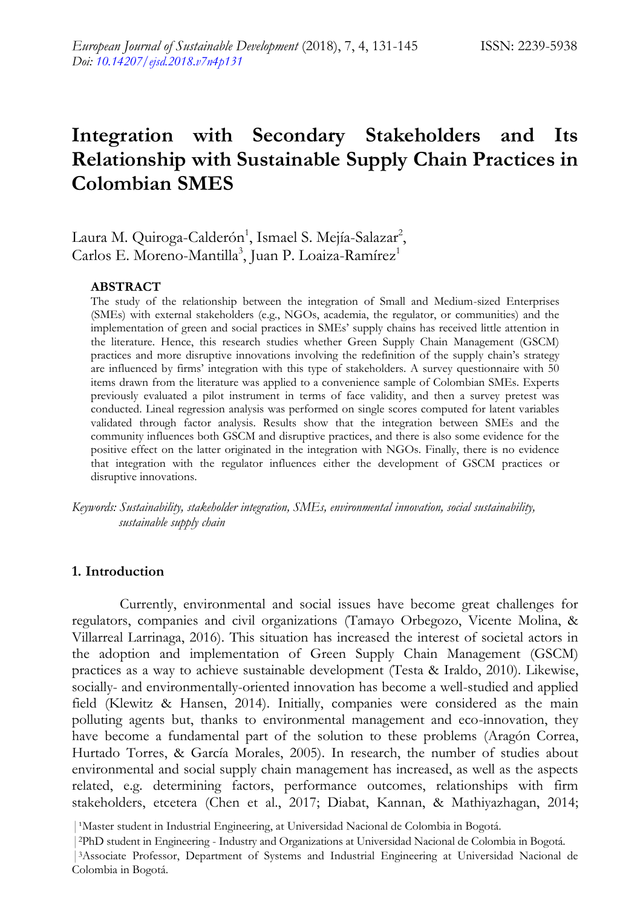# **Integration with Secondary Stakeholders and Its Relationship with Sustainable Supply Chain Practices in Colombian SMES**

Laura M. Quiroga-Calderón<sup>1</sup>, Ismael S. Mejía-Salazar<sup>2</sup>, Carlos E. Moreno-Mantilla<sup>3</sup>, Juan P. Loaiza-Ramírez<sup>1</sup>

#### **ABSTRACT**

The study of the relationship between the integration of Small and Medium-sized Enterprises (SMEs) with external stakeholders (e.g., NGOs, academia, the regulator, or communities) and the implementation of green and social practices in SMEs' supply chains has received little attention in the literature. Hence, this research studies whether Green Supply Chain Management (GSCM) practices and more disruptive innovations involving the redefinition of the supply chain's strategy are influenced by firms' integration with this type of stakeholders. A survey questionnaire with 50 items drawn from the literature was applied to a convenience sample of Colombian SMEs. Experts previously evaluated a pilot instrument in terms of face validity, and then a survey pretest was conducted. Lineal regression analysis was performed on single scores computed for latent variables validated through factor analysis. Results show that the integration between SMEs and the community influences both GSCM and disruptive practices, and there is also some evidence for the positive effect on the latter originated in the integration with NGOs. Finally, there is no evidence that integration with the regulator influences either the development of GSCM practices or disruptive innovations.

*Keywords: Sustainability, stakeholder integration, SMEs, environmental innovation, social sustainability, sustainable supply chain*

#### **1. Introduction**

Currently, environmental and social issues have become great challenges for regulators, companies and civil organizations (Tamayo Orbegozo, Vicente Molina, & Villarreal Larrinaga, 2016). This situation has increased the interest of societal actors in the adoption and implementation of Green Supply Chain Management (GSCM) practices as a way to achieve sustainable development (Testa & Iraldo, 2010). Likewise, socially- and environmentally-oriented innovation has become a well-studied and applied field (Klewitz & Hansen, 2014). Initially, companies were considered as the main polluting agents but, thanks to environmental management and eco-innovation, they have become a fundamental part of the solution to these problems (Aragón Correa, Hurtado Torres, & García Morales, 2005). In research, the number of studies about environmental and social supply chain management has increased, as well as the aspects related, e.g. determining factors, performance outcomes, relationships with firm stakeholders, etcetera (Chen et al., 2017; Diabat, Kannan, & Mathiyazhagan, 2014;

<sup>&</sup>lt;sup>1</sup>Master student in Industrial Engineering, at Universidad Nacional de Colombia in Bogotá.

<sup>|</sup>2PhD student in Engineering - Industry and Organizations at Universidad Nacional de Colombia in Bogotá.

<sup>|</sup>3Associate Professor, Department of Systems and Industrial Engineering at Universidad Nacional de Colombia in Bogotá.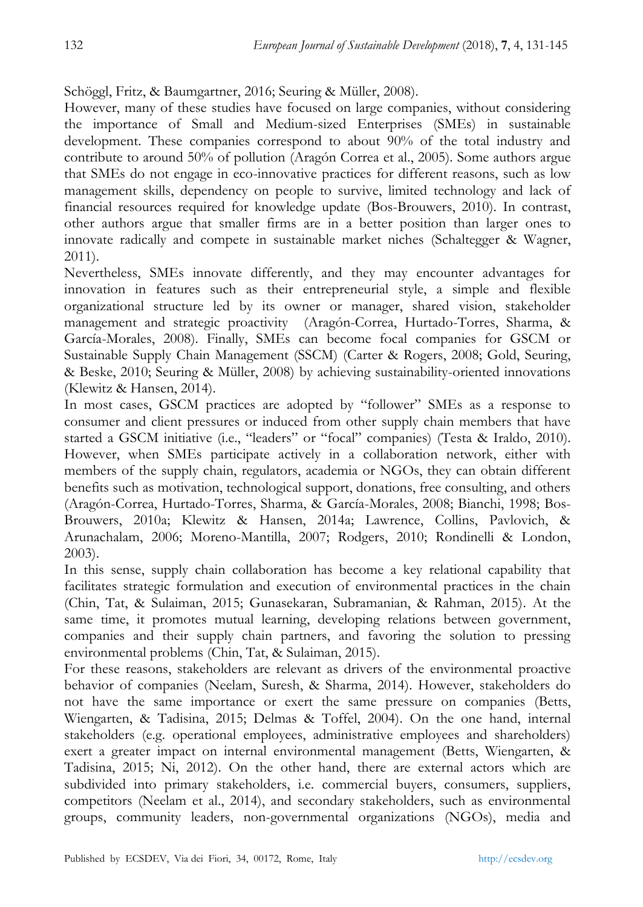Schöggl, Fritz, & Baumgartner, 2016; Seuring & Müller, 2008).

However, many of these studies have focused on large companies, without considering the importance of Small and Medium-sized Enterprises (SMEs) in sustainable development. These companies correspond to about 90% of the total industry and contribute to around 50% of pollution (Aragón Correa et al., 2005). Some authors argue that SMEs do not engage in eco-innovative practices for different reasons, such as low management skills, dependency on people to survive, limited technology and lack of financial resources required for knowledge update (Bos-Brouwers, 2010). In contrast, other authors argue that smaller firms are in a better position than larger ones to innovate radically and compete in sustainable market niches (Schaltegger & Wagner, 2011).

Nevertheless, SMEs innovate differently, and they may encounter advantages for innovation in features such as their entrepreneurial style, a simple and flexible organizational structure led by its owner or manager, shared vision, stakeholder management and strategic proactivity (Aragón-Correa, Hurtado-Torres, Sharma, & García-Morales, 2008). Finally, SMEs can become focal companies for GSCM or Sustainable Supply Chain Management (SSCM) (Carter & Rogers, 2008; Gold, Seuring, & Beske, 2010; Seuring & Müller, 2008) by achieving sustainability-oriented innovations (Klewitz & Hansen, 2014).

In most cases, GSCM practices are adopted by "follower" SMEs as a response to consumer and client pressures or induced from other supply chain members that have started a GSCM initiative (i.e., "leaders" or "focal" companies) (Testa & Iraldo, 2010). However, when SMEs participate actively in a collaboration network, either with members of the supply chain, regulators, academia or NGOs, they can obtain different benefits such as motivation, technological support, donations, free consulting, and others (Aragón-Correa, Hurtado-Torres, Sharma, & García-Morales, 2008; Bianchi, 1998; Bos-Brouwers, 2010a; Klewitz & Hansen, 2014a; Lawrence, Collins, Pavlovich, & Arunachalam, 2006; Moreno-Mantilla, 2007; Rodgers, 2010; Rondinelli & London, 2003).

In this sense, supply chain collaboration has become a key relational capability that facilitates strategic formulation and execution of environmental practices in the chain (Chin, Tat, & Sulaiman, 2015; Gunasekaran, Subramanian, & Rahman, 2015). At the same time, it promotes mutual learning, developing relations between government, companies and their supply chain partners, and favoring the solution to pressing environmental problems (Chin, Tat, & Sulaiman, 2015).

For these reasons, stakeholders are relevant as drivers of the environmental proactive behavior of companies (Neelam, Suresh, & Sharma, 2014). However, stakeholders do not have the same importance or exert the same pressure on companies (Betts, Wiengarten, & Tadisina, 2015; Delmas & Toffel, 2004). On the one hand, internal stakeholders (e.g. operational employees, administrative employees and shareholders) exert a greater impact on internal environmental management (Betts, Wiengarten, & Tadisina, 2015; Ni, 2012). On the other hand, there are external actors which are subdivided into primary stakeholders, i.e. commercial buyers, consumers, suppliers, competitors (Neelam et al., 2014), and secondary stakeholders, such as environmental groups, community leaders, non-governmental organizations (NGOs), media and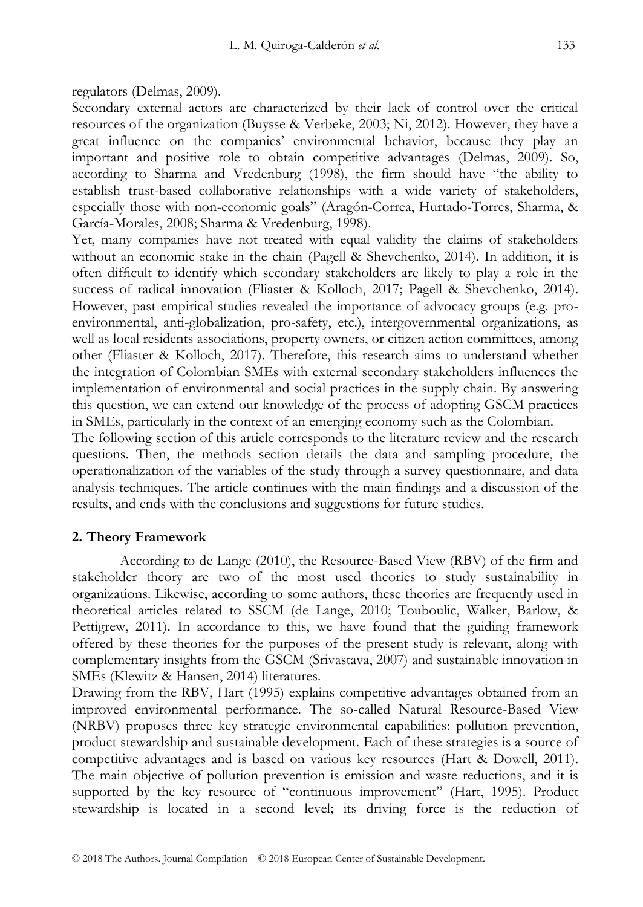regulators (Delmas, 2009).

Secondary external actors are characterized by their lack of control over the critical resources of the organization (Buysse & Verbeke, 2003; Ni, 2012). However, they have a great influence on the companies' environmental behavior, because they play an important and positive role to obtain competitive advantages (Delmas, 2009). So, according to Sharma and Vredenburg (1998), the firm should have "the ability to establish trust-based collaborative relationships with a wide variety of stakeholders, especially those with non-economic goals" (Aragón-Correa, Hurtado-Torres, Sharma, & García-Morales, 2008; Sharma & Vredenburg, 1998).

Yet, many companies have not treated with equal validity the claims of stakeholders without an economic stake in the chain (Pagell & Shevchenko, 2014). In addition, it is often difficult to identify which secondary stakeholders are likely to play a role in the success of radical innovation (Fliaster & Kolloch, 2017; Pagell & Shevchenko, 2014). However, past empirical studies revealed the importance of advocacy groups (e.g. proenvironmental, anti-globalization, pro-safety, etc.), intergovernmental organizations, as well as local residents associations, property owners, or citizen action committees, among other (Fliaster & Kolloch, 2017). Therefore, this research aims to understand whether the integration of Colombian SMEs with external secondary stakeholders influences the implementation of environmental and social practices in the supply chain. By answering this question, we can extend our knowledge of the process of adopting GSCM practices in SMEs, particularly in the context of an emerging economy such as the Colombian.

The following section of this article corresponds to the literature review and the research questions. Then, the methods section details the data and sampling procedure, the operationalization of the variables of the study through a survey questionnaire, and data analysis techniques. The article continues with the main findings and a discussion of the results, and ends with the conclusions and suggestions for future studies.

#### **2. Theory Framework**

According to de Lange (2010), the Resource-Based View (RBV) of the firm and stakeholder theory are two of the most used theories to study sustainability in organizations. Likewise, according to some authors, these theories are frequently used in theoretical articles related to SSCM (de Lange, 2010; Touboulic, Walker, Barlow, & Pettigrew, 2011). In accordance to this, we have found that the guiding framework offered by these theories for the purposes of the present study is relevant, along with complementary insights from the GSCM (Srivastava, 2007) and sustainable innovation in SMEs (Klewitz & Hansen, 2014) literatures.

Drawing from the RBV, Hart (1995) explains competitive advantages obtained from an improved environmental performance. The so-called Natural Resource-Based View (NRBV) proposes three key strategic environmental capabilities: pollution prevention, product stewardship and sustainable development. Each of these strategies is a source of competitive advantages and is based on various key resources (Hart & Dowell, 2011). The main objective of pollution prevention is emission and waste reductions, and it is supported by the key resource of "continuous improvement" (Hart, 1995). Product stewardship is located in a second level; its driving force is the reduction of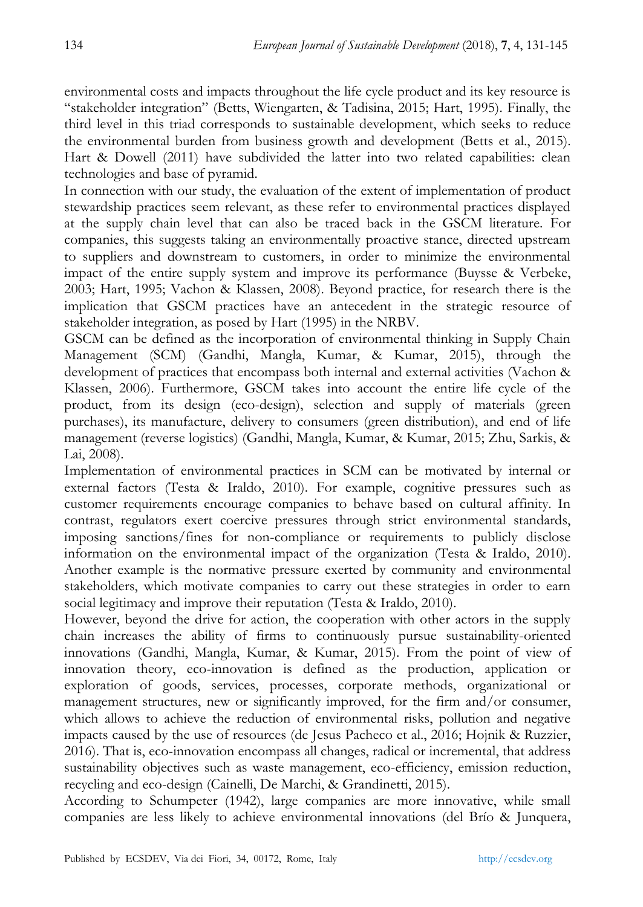environmental costs and impacts throughout the life cycle product and its key resource is ―stakeholder integration‖ (Betts, Wiengarten, & Tadisina, 2015; Hart, 1995). Finally, the third level in this triad corresponds to sustainable development, which seeks to reduce the environmental burden from business growth and development (Betts et al., 2015). Hart & Dowell (2011) have subdivided the latter into two related capabilities: clean technologies and base of pyramid.

In connection with our study, the evaluation of the extent of implementation of product stewardship practices seem relevant, as these refer to environmental practices displayed at the supply chain level that can also be traced back in the GSCM literature. For companies, this suggests taking an environmentally proactive stance, directed upstream to suppliers and downstream to customers, in order to minimize the environmental impact of the entire supply system and improve its performance (Buysse & Verbeke, 2003; Hart, 1995; Vachon & Klassen, 2008). Beyond practice, for research there is the implication that GSCM practices have an antecedent in the strategic resource of stakeholder integration, as posed by Hart (1995) in the NRBV.

GSCM can be defined as the incorporation of environmental thinking in Supply Chain Management (SCM) (Gandhi, Mangla, Kumar, & Kumar, 2015), through the development of practices that encompass both internal and external activities (Vachon & Klassen, 2006). Furthermore, GSCM takes into account the entire life cycle of the product, from its design (eco-design), selection and supply of materials (green purchases), its manufacture, delivery to consumers (green distribution), and end of life management (reverse logistics) (Gandhi, Mangla, Kumar, & Kumar, 2015; Zhu, Sarkis, & Lai, 2008).

Implementation of environmental practices in SCM can be motivated by internal or external factors (Testa & Iraldo, 2010). For example, cognitive pressures such as customer requirements encourage companies to behave based on cultural affinity. In contrast, regulators exert coercive pressures through strict environmental standards, imposing sanctions/fines for non-compliance or requirements to publicly disclose information on the environmental impact of the organization (Testa & Iraldo, 2010). Another example is the normative pressure exerted by community and environmental stakeholders, which motivate companies to carry out these strategies in order to earn social legitimacy and improve their reputation (Testa & Iraldo, 2010).

However, beyond the drive for action, the cooperation with other actors in the supply chain increases the ability of firms to continuously pursue sustainability-oriented innovations (Gandhi, Mangla, Kumar, & Kumar, 2015). From the point of view of innovation theory, eco-innovation is defined as the production, application or exploration of goods, services, processes, corporate methods, organizational or management structures, new or significantly improved, for the firm and/or consumer, which allows to achieve the reduction of environmental risks, pollution and negative impacts caused by the use of resources (de Jesus Pacheco et al., 2016; Hojnik & Ruzzier, 2016). That is, eco-innovation encompass all changes, radical or incremental, that address sustainability objectives such as waste management, eco-efficiency, emission reduction, recycling and eco-design (Cainelli, De Marchi, & Grandinetti, 2015).

According to Schumpeter (1942), large companies are more innovative, while small companies are less likely to achieve environmental innovations (del Brío & Junquera,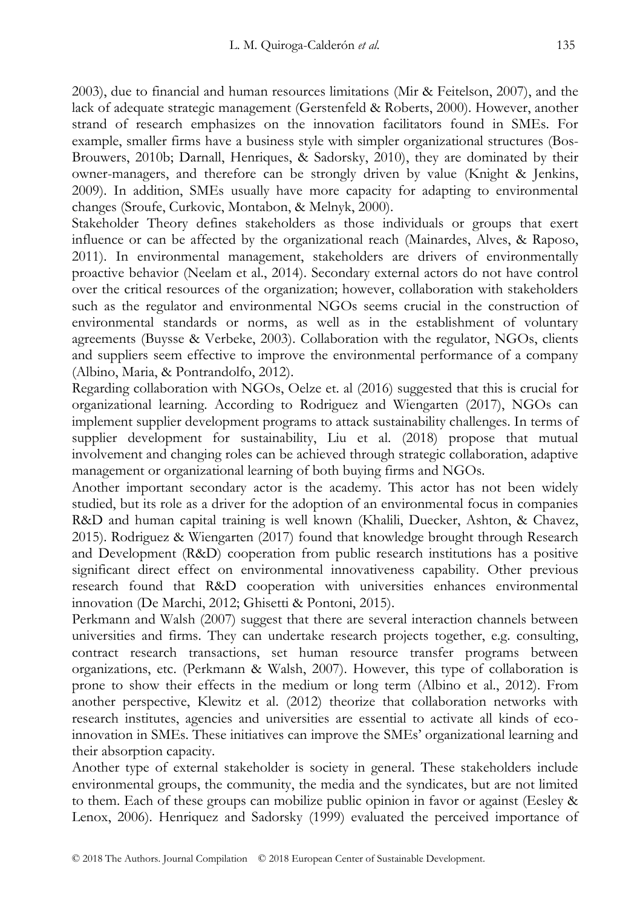2003), due to financial and human resources limitations (Mir & Feitelson, 2007), and the lack of adequate strategic management (Gerstenfeld & Roberts, 2000). However, another strand of research emphasizes on the innovation facilitators found in SMEs. For example, smaller firms have a business style with simpler organizational structures (Bos-Brouwers, 2010b; Darnall, Henriques, & Sadorsky, 2010), they are dominated by their owner-managers, and therefore can be strongly driven by value (Knight & Jenkins, 2009). In addition, SMEs usually have more capacity for adapting to environmental changes (Sroufe, Curkovic, Montabon, & Melnyk, 2000).

Stakeholder Theory defines stakeholders as those individuals or groups that exert influence or can be affected by the organizational reach (Mainardes, Alves, & Raposo, 2011). In environmental management, stakeholders are drivers of environmentally proactive behavior (Neelam et al., 2014). Secondary external actors do not have control over the critical resources of the organization; however, collaboration with stakeholders such as the regulator and environmental NGOs seems crucial in the construction of environmental standards or norms, as well as in the establishment of voluntary agreements (Buysse & Verbeke, 2003). Collaboration with the regulator, NGOs, clients and suppliers seem effective to improve the environmental performance of a company (Albino, Maria, & Pontrandolfo, 2012).

Regarding collaboration with NGOs, Oelze et. al (2016) suggested that this is crucial for organizational learning. According to Rodriguez and Wiengarten (2017), NGOs can implement supplier development programs to attack sustainability challenges. In terms of supplier development for sustainability, Liu et al. (2018) propose that mutual involvement and changing roles can be achieved through strategic collaboration, adaptive management or organizational learning of both buying firms and NGOs.

Another important secondary actor is the academy. This actor has not been widely studied, but its role as a driver for the adoption of an environmental focus in companies R&D and human capital training is well known (Khalili, Duecker, Ashton, & Chavez, 2015). Rodriguez & Wiengarten (2017) found that knowledge brought through Research and Development (R&D) cooperation from public research institutions has a positive significant direct effect on environmental innovativeness capability. Other previous research found that R&D cooperation with universities enhances environmental innovation (De Marchi, 2012; Ghisetti & Pontoni, 2015).

Perkmann and Walsh (2007) suggest that there are several interaction channels between universities and firms. They can undertake research projects together, e.g. consulting, contract research transactions, set human resource transfer programs between organizations, etc. (Perkmann & Walsh, 2007). However, this type of collaboration is prone to show their effects in the medium or long term (Albino et al., 2012). From another perspective, Klewitz et al. (2012) theorize that collaboration networks with research institutes, agencies and universities are essential to activate all kinds of ecoinnovation in SMEs. These initiatives can improve the SMEs' organizational learning and their absorption capacity.

Another type of external stakeholder is society in general. These stakeholders include environmental groups, the community, the media and the syndicates, but are not limited to them. Each of these groups can mobilize public opinion in favor or against (Eesley & Lenox, 2006). Henriquez and Sadorsky (1999) evaluated the perceived importance of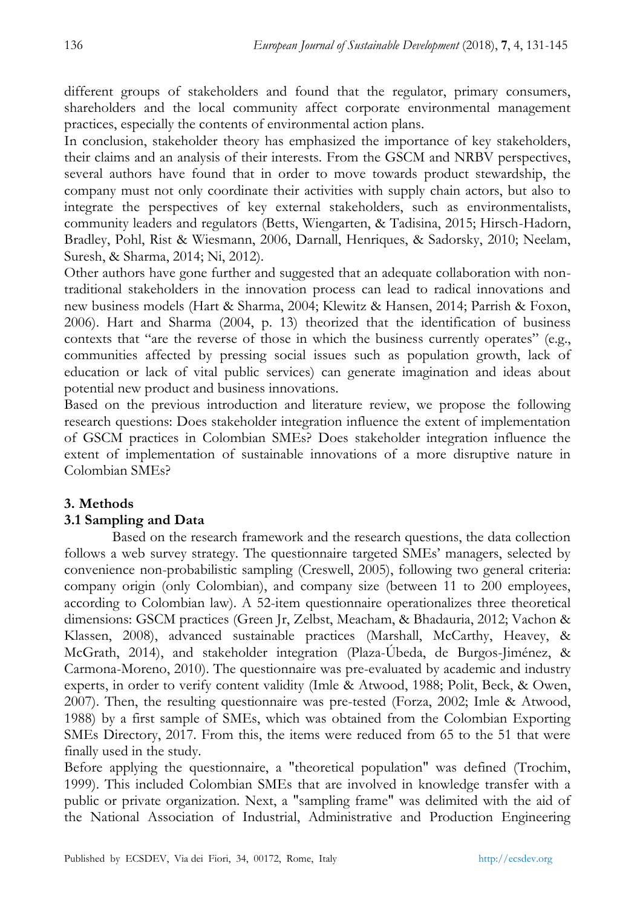different groups of stakeholders and found that the regulator, primary consumers, shareholders and the local community affect corporate environmental management practices, especially the contents of environmental action plans.

In conclusion, stakeholder theory has emphasized the importance of key stakeholders, their claims and an analysis of their interests. From the GSCM and NRBV perspectives, several authors have found that in order to move towards product stewardship, the company must not only coordinate their activities with supply chain actors, but also to integrate the perspectives of key external stakeholders, such as environmentalists, community leaders and regulators (Betts, Wiengarten, & Tadisina, 2015; Hirsch-Hadorn, Bradley, Pohl, Rist & Wiesmann, 2006, Darnall, Henriques, & Sadorsky, 2010; Neelam, Suresh, & Sharma, 2014; Ni, 2012).

Other authors have gone further and suggested that an adequate collaboration with nontraditional stakeholders in the innovation process can lead to radical innovations and new business models (Hart & Sharma, 2004; Klewitz & Hansen, 2014; Parrish & Foxon, 2006). Hart and Sharma (2004, p. 13) theorized that the identification of business contexts that "are the reverse of those in which the business currently operates" (e.g., communities affected by pressing social issues such as population growth, lack of education or lack of vital public services) can generate imagination and ideas about potential new product and business innovations.

Based on the previous introduction and literature review, we propose the following research questions: Does stakeholder integration influence the extent of implementation of GSCM practices in Colombian SMEs? Does stakeholder integration influence the extent of implementation of sustainable innovations of a more disruptive nature in Colombian SMEs?

## **3. Methods**

## **3.1 Sampling and Data**

Based on the research framework and the research questions, the data collection follows a web survey strategy. The questionnaire targeted SMEs' managers, selected by convenience non-probabilistic sampling (Creswell, 2005), following two general criteria: company origin (only Colombian), and company size (between 11 to 200 employees, according to Colombian law). A 52-item questionnaire operationalizes three theoretical dimensions: GSCM practices (Green Jr, Zelbst, Meacham, & Bhadauria, 2012; Vachon & Klassen, 2008), advanced sustainable practices (Marshall, McCarthy, Heavey, & McGrath, 2014), and stakeholder integration (Plaza-Úbeda, de Burgos-Jiménez, & Carmona-Moreno, 2010). The questionnaire was pre-evaluated by academic and industry experts, in order to verify content validity (Imle & Atwood, 1988; Polit, Beck, & Owen, 2007). Then, the resulting questionnaire was pre-tested (Forza, 2002; Imle & Atwood, 1988) by a first sample of SMEs, which was obtained from the Colombian Exporting SMEs Directory, 2017. From this, the items were reduced from 65 to the 51 that were finally used in the study.

Before applying the questionnaire, a "theoretical population" was defined (Trochim, 1999). This included Colombian SMEs that are involved in knowledge transfer with a public or private organization. Next, a "sampling frame" was delimited with the aid of the National Association of Industrial, Administrative and Production Engineering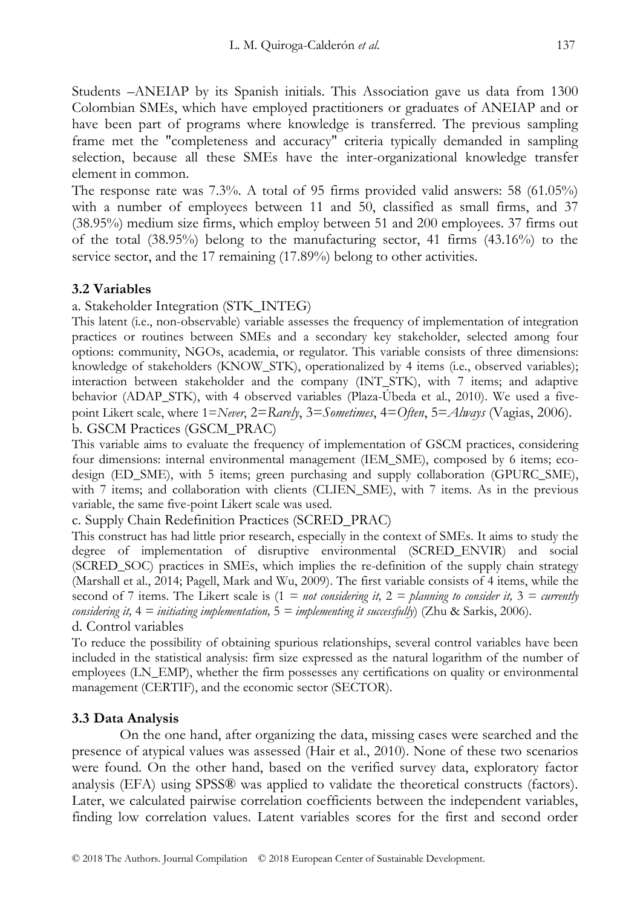Students –ANEIAP by its Spanish initials. This Association gave us data from 1300 Colombian SMEs, which have employed practitioners or graduates of ANEIAP and or have been part of programs where knowledge is transferred. The previous sampling frame met the "completeness and accuracy" criteria typically demanded in sampling selection, because all these SMEs have the inter-organizational knowledge transfer element in common.

The response rate was 7.3%. A total of 95 firms provided valid answers: 58 (61.05%) with a number of employees between 11 and 50, classified as small firms, and 37 (38.95%) medium size firms, which employ between 51 and 200 employees. 37 firms out of the total  $(38.95\%)$  belong to the manufacturing sector, 41 firms  $(43.16\%)$  to the service sector, and the 17 remaining (17.89%) belong to other activities.

## **3.2 Variables**

a. Stakeholder Integration (STK\_INTEG)

This latent (i.e., non-observable) variable assesses the frequency of implementation of integration practices or routines between SMEs and a secondary key stakeholder, selected among four options: community, NGOs, academia, or regulator. This variable consists of three dimensions: knowledge of stakeholders (KNOW\_STK), operationalized by 4 items (i.e., observed variables); interaction between stakeholder and the company (INT\_STK), with 7 items; and adaptive behavior (ADAP\_STK), with 4 observed variables (Plaza-Úbeda et al., 2010). We used a fivepoint Likert scale, where 1=*Never*, 2=*Rarely*, 3=*Sometimes*, 4=*Often*, 5=*Always* (Vagias, 2006). b. GSCM Practices (GSCM\_PRAC)

This variable aims to evaluate the frequency of implementation of GSCM practices, considering four dimensions: internal environmental management (IEM\_SME), composed by 6 items; ecodesign (ED\_SME), with 5 items; green purchasing and supply collaboration (GPURC\_SME), with 7 items; and collaboration with clients (CLIEN\_SME), with 7 items. As in the previous variable, the same five-point Likert scale was used.

c. Supply Chain Redefinition Practices (SCRED\_PRAC)

This construct has had little prior research, especially in the context of SMEs. It aims to study the degree of implementation of disruptive environmental (SCRED\_ENVIR) and social (SCRED\_SOC) practices in SMEs, which implies the re-definition of the supply chain strategy (Marshall et al., 2014; Pagell, Mark and Wu, 2009). The first variable consists of 4 items, while the second of 7 items. The Likert scale is  $(1 = not considering it, 2 = planning to consider it, 3 = currently$ *considering it,* 4 *= initiating implementation,* 5 *= implementing it successfully*) (Zhu & Sarkis, 2006). d. Control variables

To reduce the possibility of obtaining spurious relationships, several control variables have been included in the statistical analysis: firm size expressed as the natural logarithm of the number of employees (LN\_EMP), whether the firm possesses any certifications on quality or environmental management (CERTIF), and the economic sector (SECTOR).

## **3.3 Data Analysis**

On the one hand, after organizing the data, missing cases were searched and the presence of atypical values was assessed (Hair et al., 2010). None of these two scenarios were found. On the other hand, based on the verified survey data, exploratory factor analysis (EFA) using SPSS® was applied to validate the theoretical constructs (factors). Later, we calculated pairwise correlation coefficients between the independent variables, finding low correlation values. Latent variables scores for the first and second order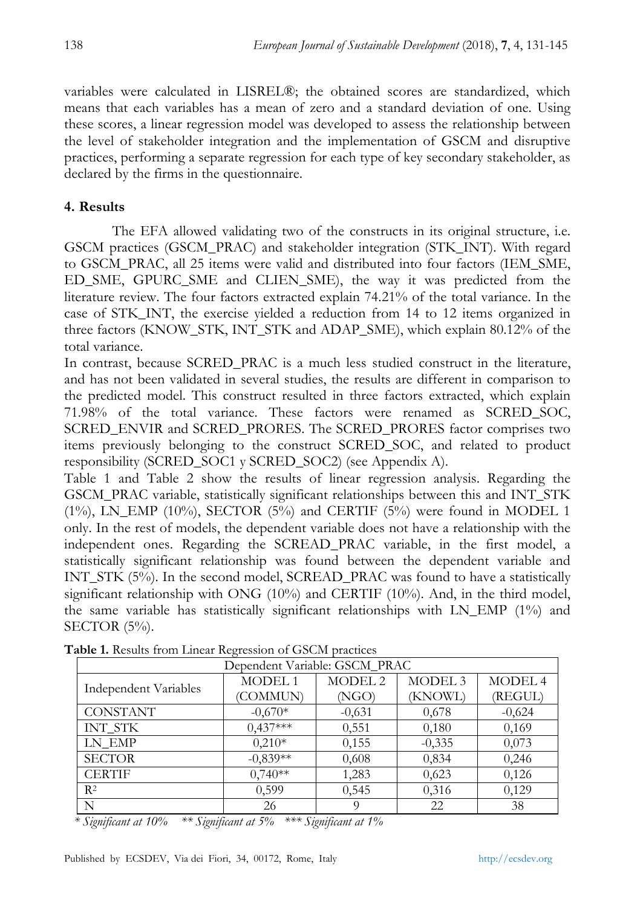variables were calculated in LISREL®; the obtained scores are standardized, which means that each variables has a mean of zero and a standard deviation of one. Using these scores, a linear regression model was developed to assess the relationship between the level of stakeholder integration and the implementation of GSCM and disruptive practices, performing a separate regression for each type of key secondary stakeholder, as declared by the firms in the questionnaire.

## **4. Results**

The EFA allowed validating two of the constructs in its original structure, i.e. GSCM practices (GSCM\_PRAC) and stakeholder integration (STK\_INT). With regard to GSCM\_PRAC, all 25 items were valid and distributed into four factors (IEM\_SME, ED\_SME, GPURC\_SME and CLIEN\_SME), the way it was predicted from the literature review. The four factors extracted explain 74.21% of the total variance. In the case of STK\_INT, the exercise yielded a reduction from 14 to 12 items organized in three factors (KNOW\_STK, INT\_STK and ADAP\_SME), which explain 80.12% of the total variance.

In contrast, because SCRED\_PRAC is a much less studied construct in the literature, and has not been validated in several studies, the results are different in comparison to the predicted model. This construct resulted in three factors extracted, which explain 71.98% of the total variance. These factors were renamed as SCRED\_SOC, SCRED\_ENVIR and SCRED\_PRORES. The SCRED\_PRORES factor comprises two items previously belonging to the construct SCRED\_SOC, and related to product responsibility (SCRED\_SOC1 y SCRED\_SOC2) (see Appendix A).

Table 1 and Table 2 show the results of linear regression analysis. Regarding the GSCM\_PRAC variable, statistically significant relationships between this and INT\_STK  $(1\%)$ , LN\_EMP  $(10\%)$ , SECTOR  $(5\%)$  and CERTIF  $(5\%)$  were found in MODEL 1 only. In the rest of models, the dependent variable does not have a relationship with the independent ones. Regarding the SCREAD\_PRAC variable, in the first model, a statistically significant relationship was found between the dependent variable and INT\_STK (5%). In the second model, SCREAD\_PRAC was found to have a statistically significant relationship with ONG (10%) and CERTIF (10%). And, in the third model, the same variable has statistically significant relationships with  $LN\_EMP$  (1%) and SECTOR (5%).

| Dependent Variable: GSCM_PRAC |               |                    |                    |                |  |  |
|-------------------------------|---------------|--------------------|--------------------|----------------|--|--|
| Independent Variables         | <b>MODEL1</b> | MODEL <sub>2</sub> | MODEL <sub>3</sub> | <b>MODEL 4</b> |  |  |
|                               | (COMMUN)      | (NGO)              | (KNOWL)            | (REGUL)        |  |  |
| <b>CONSTANT</b>               | $-0.670*$     | $-0,631$           | 0,678              | $-0,624$       |  |  |
| <b>INT STK</b>                | $0,437***$    | 0.551              | 0,180              | 0,169          |  |  |
| LN EMP                        | $0.210*$      | 0,155              | $-0,335$           | 0,073          |  |  |
| <b>SECTOR</b>                 | $-0,839**$    | 0,608              | 0,834              | 0,246          |  |  |
| <b>CERTIF</b>                 | $0,740**$     | 1,283              | 0,623              | 0,126          |  |  |
| R <sup>2</sup>                | 0,599         | 0,545              | 0,316              | 0,129          |  |  |
| N                             | 26            | Q                  | 22                 | 38             |  |  |

**Table 1.** Results from Linear Regression of GSCM practices

*\* Significant at 10% \*\* Significant at 5% \*\*\* Significant at 1%*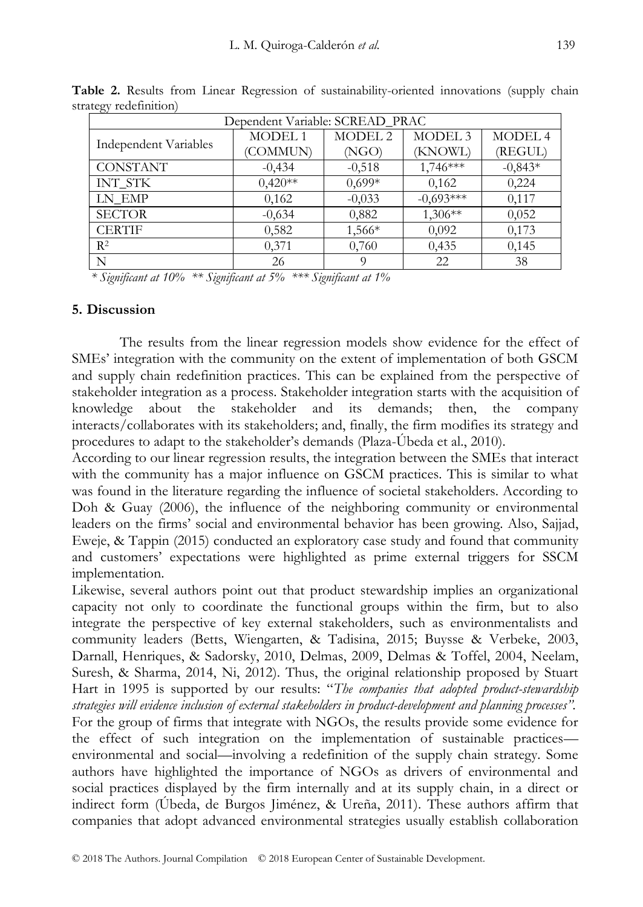| - 02                            |               |                    |                    |           |  |  |
|---------------------------------|---------------|--------------------|--------------------|-----------|--|--|
| Dependent Variable: SCREAD_PRAC |               |                    |                    |           |  |  |
| Independent Variables           | <b>MODEL1</b> | MODEL <sub>2</sub> | MODEL <sub>3</sub> | MODEL 4   |  |  |
|                                 | (COMMUN)      | (NGO)              | (KNOWL)            | (REGUL)   |  |  |
| <b>CONSTANT</b>                 | $-0.434$      | $-0,518$           | 1,746***           | $-0,843*$ |  |  |
| <b>INT STK</b>                  | $0.420**$     | $0,699*$           | 0,162              | 0,224     |  |  |
| LN EMP                          | 0,162         | $-0,033$           | $-0,693***$        | 0,117     |  |  |
| <b>SECTOR</b>                   | $-0,634$      | 0,882              | $1,306**$          | 0,052     |  |  |
| <b>CERTIF</b>                   | 0,582         | 1,566*             | 0,092              | 0,173     |  |  |
| $R^2$                           | 0,371         | 0,760              | 0,435              | 0,145     |  |  |
| N                               | 26            | O                  | 22                 | 38        |  |  |

**Table 2.** Results from Linear Regression of sustainability-oriented innovations (supply chain strategy redefinition)

*\* Significant at 10% \*\* Significant at 5% \*\*\* Significant at 1%*

#### **5. Discussion**

The results from the linear regression models show evidence for the effect of SMEs' integration with the community on the extent of implementation of both GSCM and supply chain redefinition practices. This can be explained from the perspective of stakeholder integration as a process. Stakeholder integration starts with the acquisition of knowledge about the stakeholder and its demands; then, the company interacts/collaborates with its stakeholders; and, finally, the firm modifies its strategy and procedures to adapt to the stakeholder's demands (Plaza-Úbeda et al., 2010).

According to our linear regression results, the integration between the SMEs that interact with the community has a major influence on GSCM practices. This is similar to what was found in the literature regarding the influence of societal stakeholders. According to Doh & Guay (2006), the influence of the neighboring community or environmental leaders on the firms' social and environmental behavior has been growing. Also, Sajjad, Eweje, & Tappin (2015) conducted an exploratory case study and found that community and customers' expectations were highlighted as prime external triggers for SSCM implementation.

Likewise, several authors point out that product stewardship implies an organizational capacity not only to coordinate the functional groups within the firm, but to also integrate the perspective of key external stakeholders, such as environmentalists and community leaders (Betts, Wiengarten, & Tadisina, 2015; Buysse & Verbeke, 2003, Darnall, Henriques, & Sadorsky, 2010, Delmas, 2009, Delmas & Toffel, 2004, Neelam, Suresh, & Sharma, 2014, Ni, 2012). Thus, the original relationship proposed by Stuart Hart in 1995 is supported by our results: "The companies that adopted product-stewardship *strategies will evidence inclusion of external stakeholders in product-development and planning processes".* For the group of firms that integrate with NGOs, the results provide some evidence for the effect of such integration on the implementation of sustainable practices environmental and social—involving a redefinition of the supply chain strategy. Some authors have highlighted the importance of NGOs as drivers of environmental and social practices displayed by the firm internally and at its supply chain, in a direct or indirect form (Úbeda, de Burgos Jiménez, & Ureña, 2011). These authors affirm that companies that adopt advanced environmental strategies usually establish collaboration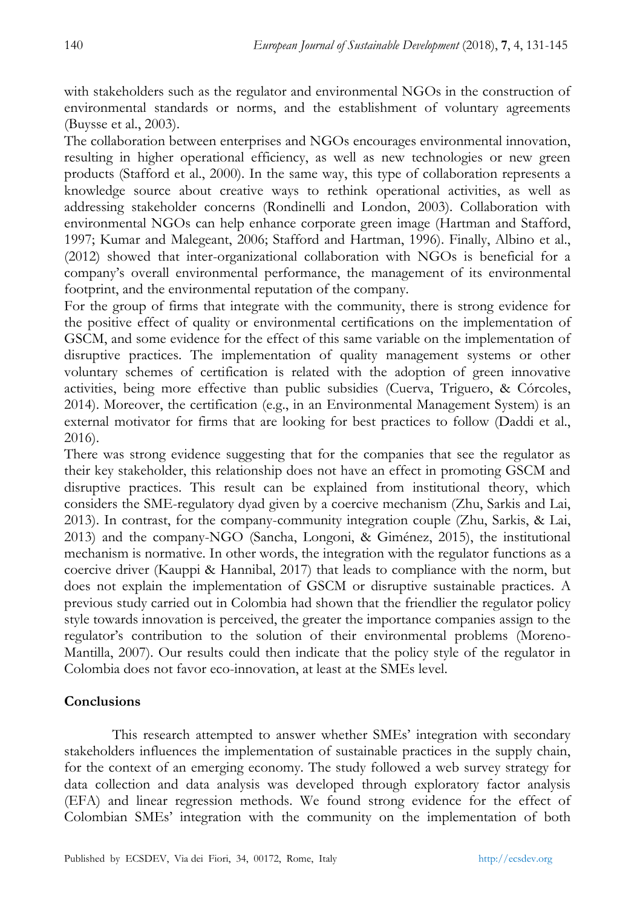with stakeholders such as the regulator and environmental NGOs in the construction of environmental standards or norms, and the establishment of voluntary agreements (Buysse et al., 2003).

The collaboration between enterprises and NGOs encourages environmental innovation, resulting in higher operational efficiency, as well as new technologies or new green products (Stafford et al., 2000). In the same way, this type of collaboration represents a knowledge source about creative ways to rethink operational activities, as well as addressing stakeholder concerns (Rondinelli and London, 2003). Collaboration with environmental NGOs can help enhance corporate green image (Hartman and Stafford, 1997; Kumar and Malegeant, 2006; Stafford and Hartman, 1996). Finally, Albino et al., (2012) showed that inter-organizational collaboration with NGOs is beneficial for a company's overall environmental performance, the management of its environmental footprint, and the environmental reputation of the company.

For the group of firms that integrate with the community, there is strong evidence for the positive effect of quality or environmental certifications on the implementation of GSCM, and some evidence for the effect of this same variable on the implementation of disruptive practices. The implementation of quality management systems or other voluntary schemes of certification is related with the adoption of green innovative activities, being more effective than public subsidies (Cuerva, Triguero, & Córcoles, 2014). Moreover, the certification (e.g., in an Environmental Management System) is an external motivator for firms that are looking for best practices to follow (Daddi et al., 2016).

There was strong evidence suggesting that for the companies that see the regulator as their key stakeholder, this relationship does not have an effect in promoting GSCM and disruptive practices. This result can be explained from institutional theory, which considers the SME-regulatory dyad given by a coercive mechanism (Zhu, Sarkis and Lai, 2013). In contrast, for the company-community integration couple (Zhu, Sarkis, & Lai, 2013) and the company-NGO (Sancha, Longoni, & Giménez, 2015), the institutional mechanism is normative. In other words, the integration with the regulator functions as a coercive driver (Kauppi & Hannibal, 2017) that leads to compliance with the norm, but does not explain the implementation of GSCM or disruptive sustainable practices. A previous study carried out in Colombia had shown that the friendlier the regulator policy style towards innovation is perceived, the greater the importance companies assign to the regulator's contribution to the solution of their environmental problems (Moreno-Mantilla, 2007). Our results could then indicate that the policy style of the regulator in Colombia does not favor eco-innovation, at least at the SMEs level.

## **Conclusions**

This research attempted to answer whether SMEs' integration with secondary stakeholders influences the implementation of sustainable practices in the supply chain, for the context of an emerging economy. The study followed a web survey strategy for data collection and data analysis was developed through exploratory factor analysis (EFA) and linear regression methods. We found strong evidence for the effect of Colombian SMEs' integration with the community on the implementation of both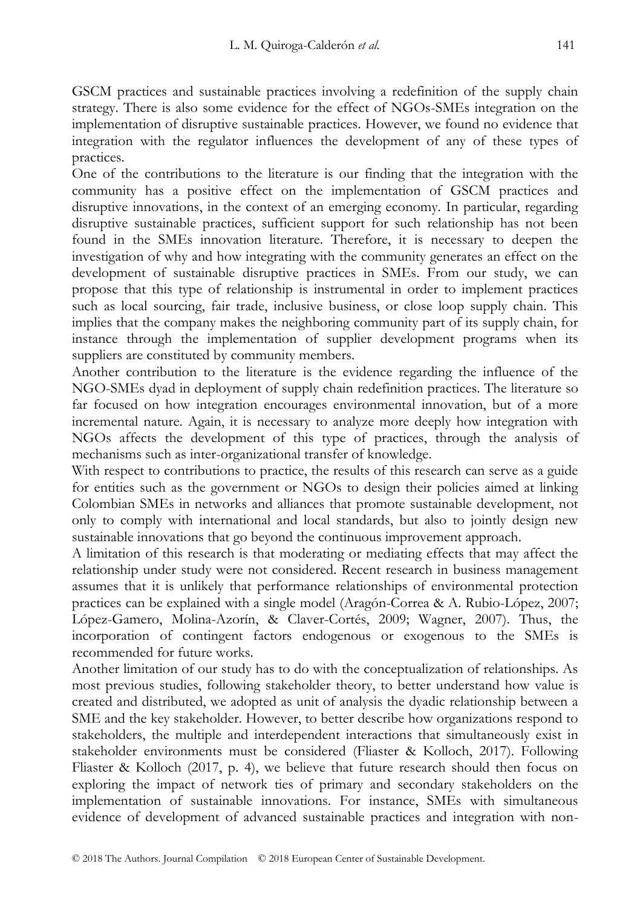GSCM practices and sustainable practices involving a redefinition of the supply chain strategy. There is also some evidence for the effect of NGOs-SMEs integration on the implementation of disruptive sustainable practices. However, we found no evidence that integration with the regulator influences the development of any of these types of practices.

One of the contributions to the literature is our finding that the integration with the community has a positive effect on the implementation of GSCM practices and disruptive innovations, in the context of an emerging economy. In particular, regarding disruptive sustainable practices, sufficient support for such relationship has not been found in the SMEs innovation literature. Therefore, it is necessary to deepen the investigation of why and how integrating with the community generates an effect on the development of sustainable disruptive practices in SMEs. From our study, we can propose that this type of relationship is instrumental in order to implement practices such as local sourcing, fair trade, inclusive business, or close loop supply chain. This implies that the company makes the neighboring community part of its supply chain, for instance through the implementation of supplier development programs when its suppliers are constituted by community members.

Another contribution to the literature is the evidence regarding the influence of the NGO-SMEs dyad in deployment of supply chain redefinition practices. The literature so far focused on how integration encourages environmental innovation, but of a more incremental nature. Again, it is necessary to analyze more deeply how integration with NGOs affects the development of this type of practices, through the analysis of mechanisms such as inter-organizational transfer of knowledge.

With respect to contributions to practice, the results of this research can serve as a guide for entities such as the government or NGOs to design their policies aimed at linking Colombian SMEs in networks and alliances that promote sustainable development, not only to comply with international and local standards, but also to jointly design new sustainable innovations that go beyond the continuous improvement approach.

A limitation of this research is that moderating or mediating effects that may affect the relationship under study were not considered. Recent research in business management assumes that it is unlikely that performance relationships of environmental protection practices can be explained with a single model (Aragón-Correa & A. Rubio-López, 2007; López-Gamero, Molina-Azorín, & Claver-Cortés, 2009; Wagner, 2007). Thus, the incorporation of contingent factors endogenous or exogenous to the SMEs is recommended for future works.

Another limitation of our study has to do with the conceptualization of relationships. As most previous studies, following stakeholder theory, to better understand how value is created and distributed, we adopted as unit of analysis the dyadic relationship between a SME and the key stakeholder. However, to better describe how organizations respond to stakeholders, the multiple and interdependent interactions that simultaneously exist in stakeholder environments must be considered (Fliaster & Kolloch, 2017). Following Fliaster & Kolloch (2017, p. 4), we believe that future research should then focus on exploring the impact of network ties of primary and secondary stakeholders on the implementation of sustainable innovations. For instance, SMEs with simultaneous evidence of development of advanced sustainable practices and integration with non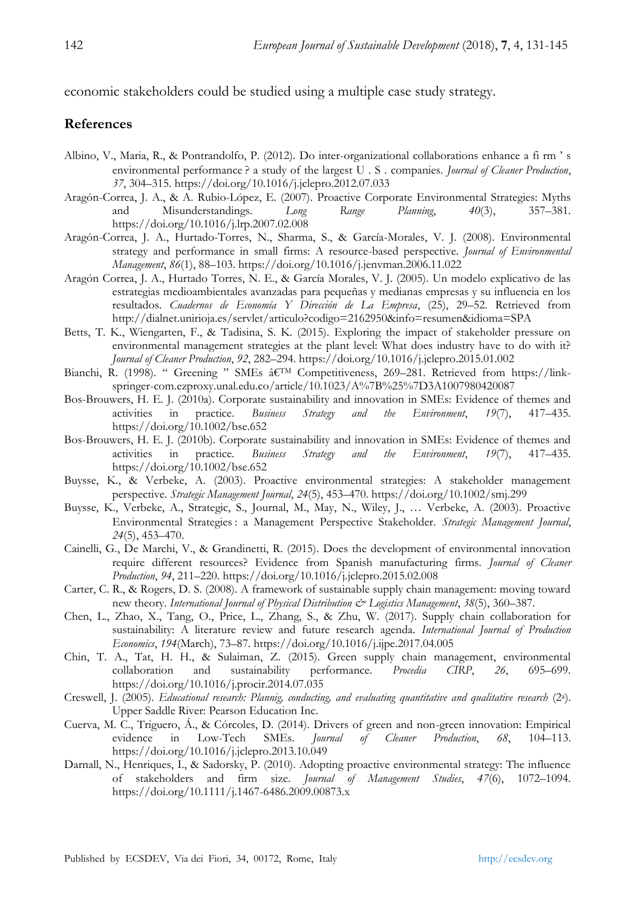economic stakeholders could be studied using a multiple case study strategy.

#### **References**

- Albino, V., Maria, R., & Pontrandolfo, P. (2012). Do inter-organizational collaborations enhance a fi rm ' s environmental performance ? a study of the largest U . S . companies. *Journal of Cleaner Production*, *37*, 304–315. https://doi.org/10.1016/j.jclepro.2012.07.033
- Aragón-Correa, J. A., & A. Rubio-López, E. (2007). Proactive Corporate Environmental Strategies: Myths and Misunderstandings. *Long Range Planning*, *40*(3), 357–381. https://doi.org/10.1016/j.lrp.2007.02.008
- Aragón-Correa, J. A., Hurtado-Torres, N., Sharma, S., & García-Morales, V. J. (2008). Environmental strategy and performance in small firms: A resource-based perspective. *Journal of Environmental Management*, *86*(1), 88–103. https://doi.org/10.1016/j.jenvman.2006.11.022
- Aragón Correa, J. A., Hurtado Torres, N. E., & García Morales, V. J. (2005). Un modelo explicativo de las estrategias medioambientales avanzadas para pequeñas y medianas empresas y su influencia en los resultados. *Cuadernos de Economía Y Dirección de La Empresa*, (25), 29–52. Retrieved from http://dialnet.unirioja.es/servlet/articulo?codigo=2162950&info=resumen&idioma=SPA
- Betts, T. K., Wiengarten, F., & Tadisina, S. K. (2015). Exploring the impact of stakeholder pressure on environmental management strategies at the plant level: What does industry have to do with it? *Journal of Cleaner Production*, *92*, 282–294. https://doi.org/10.1016/j.jclepro.2015.01.002
- Bianchi, R. (1998). " Greening " SMEs â€<sup>TM</sup> Competitiveness, 269-281. Retrieved from https://linkspringer-com.ezproxy.unal.edu.co/article/10.1023/A%7B%25%7D3A1007980420087
- Bos-Brouwers, H. E. J. (2010a). Corporate sustainability and innovation in SMEs: Evidence of themes and activities in practice. *Business Strategy and the Environment*, *19*(7), 417–435. https://doi.org/10.1002/bse.652
- Bos-Brouwers, H. E. J. (2010b). Corporate sustainability and innovation in SMEs: Evidence of themes and activities in practice. *Business Strategy and the Environment*, *19*(7), 417–435. https://doi.org/10.1002/bse.652
- Buysse, K., & Verbeke, A. (2003). Proactive environmental strategies: A stakeholder management perspective. *Strategic Management Journal*, *24*(5), 453–470. https://doi.org/10.1002/smj.299
- Buysse, K., Verbeke, A., Strategic, S., Journal, M., May, N., Wiley, J., … Verbeke, A. (2003). Proactive Environmental Strategies : a Management Perspective Stakeholder. *Strategic Management Journal*, *24*(5), 453–470.
- Cainelli, G., De Marchi, V., & Grandinetti, R. (2015). Does the development of environmental innovation require different resources? Evidence from Spanish manufacturing firms. *Journal of Cleaner Production*, *94*, 211–220. https://doi.org/10.1016/j.jclepro.2015.02.008
- Carter, C. R., & Rogers, D. S. (2008). A framework of sustainable supply chain management: moving toward new theory. *International Journal of Physical Distribution*  $\mathcal{Q}$ *<sup>2</sup> Logistics Management*, 38(5), 360–387.
- Chen, L., Zhao, X., Tang, O., Price, L., Zhang, S., & Zhu, W. (2017). Supply chain collaboration for sustainability: A literature review and future research agenda. *International Journal of Production Economics*, *194*(March), 73–87. https://doi.org/10.1016/j.ijpe.2017.04.005
- Chin, T. A., Tat, H. H., & Sulaiman, Z. (2015). Green supply chain management, environmental collaboration and sustainability performance. *Procedia CIRP*, *26*, 695–699. https://doi.org/10.1016/j.procir.2014.07.035
- Creswell, J. (2005). *Educational research: Plannig, conducting, and evaluating quantitative and qualitative research* (2<sup>a</sup> ). Upper Saddle River: Pearson Education Inc.
- Cuerva, M. C., Triguero, Á., & Córcoles, D. (2014). Drivers of green and non-green innovation: Empirical evidence in Low-Tech SMEs. *Journal of Cleaner Production*, *68*, 104–113. https://doi.org/10.1016/j.jclepro.2013.10.049
- Darnall, N., Henriques, I., & Sadorsky, P. (2010). Adopting proactive environmental strategy: The influence of stakeholders and firm size. *Journal of Management Studies*, *47*(6), 1072–1094. https://doi.org/10.1111/j.1467-6486.2009.00873.x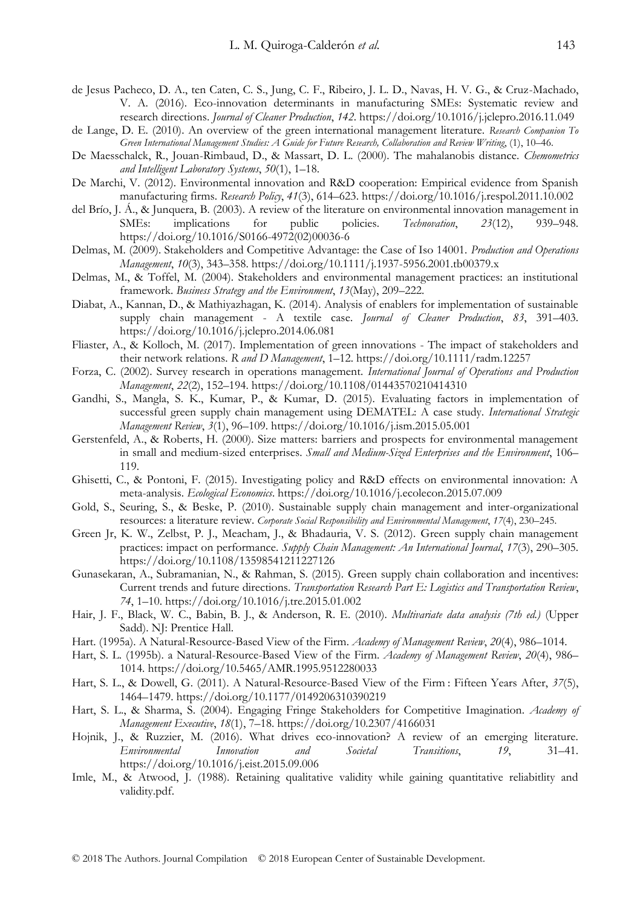- de Jesus Pacheco, D. A., ten Caten, C. S., Jung, C. F., Ribeiro, J. L. D., Navas, H. V. G., & Cruz-Machado, V. A. (2016). Eco-innovation determinants in manufacturing SMEs: Systematic review and research directions. *Journal of Cleaner Production*, *142*. https://doi.org/10.1016/j.jclepro.2016.11.049
- de Lange, D. E. (2010). An overview of the green international management literature. *Research Companion To Green International Management Studies: A Guide for Future Research, Collaboration and Review Writing*, (1), 10–46.
- De Maesschalck, R., Jouan-Rimbaud, D., & Massart, D. L. (2000). The mahalanobis distance. *Chemometrics and Intelligent Laboratory Systems*, *50*(1), 1–18.
- De Marchi, V. (2012). Environmental innovation and R&D cooperation: Empirical evidence from Spanish manufacturing firms. *Research Policy*, *41*(3), 614–623. https://doi.org/10.1016/j.respol.2011.10.002
- del Brío, J. Á., & Junquera, B. (2003). A review of the literature on environmental innovation management in SMEs: implications for public policies. *Technovation*, *23*(12), 939–948. https://doi.org/10.1016/S0166-4972(02)00036-6
- Delmas, M. (2009). Stakeholders and Competitive Advantage: the Case of Iso 14001. *Production and Operations Management*, *10*(3), 343–358. https://doi.org/10.1111/j.1937-5956.2001.tb00379.x
- Delmas, M., & Toffel, M. (2004). Stakeholders and environmental management practices: an institutional framework. *Business Strategy and the Environment*, *13*(May), 209–222.
- Diabat, A., Kannan, D., & Mathiyazhagan, K. (2014). Analysis of enablers for implementation of sustainable supply chain management - A textile case. *Journal of Cleaner Production*, *83*, 391–403. https://doi.org/10.1016/j.jclepro.2014.06.081
- Fliaster, A., & Kolloch, M. (2017). Implementation of green innovations The impact of stakeholders and their network relations. *R and D Management*, 1–12. https://doi.org/10.1111/radm.12257
- Forza, C. (2002). Survey research in operations management. *International Journal of Operations and Production Management*, *22*(2), 152–194. https://doi.org/10.1108/01443570210414310
- Gandhi, S., Mangla, S. K., Kumar, P., & Kumar, D. (2015). Evaluating factors in implementation of successful green supply chain management using DEMATEL: A case study. *International Strategic Management Review*, *3*(1), 96–109. https://doi.org/10.1016/j.ism.2015.05.001
- Gerstenfeld, A., & Roberts, H. (2000). Size matters: barriers and prospects for environmental management in small and medium-sized enterprises. *Small and Medium-Sized Enterprises and the Environment*, 106– 119.
- Ghisetti, C., & Pontoni, F. (2015). Investigating policy and R&D effects on environmental innovation: A meta-analysis. *Ecological Economics*. https://doi.org/10.1016/j.ecolecon.2015.07.009
- Gold, S., Seuring, S., & Beske, P. (2010). Sustainable supply chain management and inter-organizational resources: a literature review. *Corporate Social Responsibility and Environmental Management*, *17*(4), 230–245.
- Green Jr, K. W., Zelbst, P. J., Meacham, J., & Bhadauria, V. S. (2012). Green supply chain management practices: impact on performance. *Supply Chain Management: An International Journal*, *17*(3), 290–305. https://doi.org/10.1108/13598541211227126
- Gunasekaran, A., Subramanian, N., & Rahman, S. (2015). Green supply chain collaboration and incentives: Current trends and future directions. *Transportation Research Part E: Logistics and Transportation Review*, *74*, 1–10. https://doi.org/10.1016/j.tre.2015.01.002
- Hair, J. F., Black, W. C., Babin, B. J., & Anderson, R. E. (2010). *Multivariate data analysis (7th ed.)* (Upper Sadd). NJ: Prentice Hall.
- Hart. (1995a). A Natural-Resource-Based View of the Firm. *Academy of Management Review*, *20*(4), 986–1014.
- Hart, S. L. (1995b). a Natural-Resource-Based View of the Firm. *Academy of Management Review*, *20*(4), 986– 1014. https://doi.org/10.5465/AMR.1995.9512280033
- Hart, S. L., & Dowell, G. (2011). A Natural-Resource-Based View of the Firm : Fifteen Years After, *37*(5), 1464–1479. https://doi.org/10.1177/0149206310390219
- Hart, S. L., & Sharma, S. (2004). Engaging Fringe Stakeholders for Competitive Imagination. *Academy of Management Executive*, *18*(1), 7–18. https://doi.org/10.2307/4166031
- Hojnik, J., & Ruzzier, M. (2016). What drives eco-innovation? A review of an emerging literature. *Environmental Innovation and Societal Transitions*, *19*, 31–41. https://doi.org/10.1016/j.eist.2015.09.006
- Imle, M., & Atwood, J. (1988). Retaining qualitative validity while gaining quantitative reliabitlity and validity.pdf.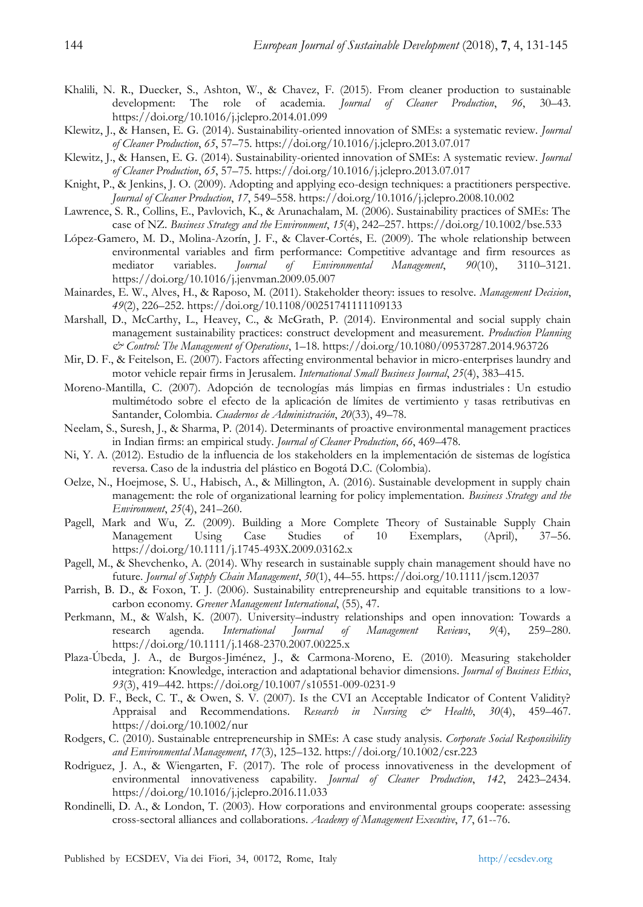- Khalili, N. R., Duecker, S., Ashton, W., & Chavez, F. (2015). From cleaner production to sustainable development: The role of academia. *Journal of Cleaner Production*, 96, 30–43. development: The role of academia. *Journal of Cleaner Production*, *96*, 30–43. https://doi.org/10.1016/j.jclepro.2014.01.099
- Klewitz, J., & Hansen, E. G. (2014). Sustainability-oriented innovation of SMEs: a systematic review. *Journal of Cleaner Production*, *65*, 57–75. https://doi.org/10.1016/j.jclepro.2013.07.017
- Klewitz, J., & Hansen, E. G. (2014). Sustainability-oriented innovation of SMEs: A systematic review. *Journal of Cleaner Production*, *65*, 57–75. https://doi.org/10.1016/j.jclepro.2013.07.017
- Knight, P., & Jenkins, J. O. (2009). Adopting and applying eco-design techniques: a practitioners perspective. *Journal of Cleaner Production*, *17*, 549–558. https://doi.org/10.1016/j.jclepro.2008.10.002
- Lawrence, S. R., Collins, E., Pavlovich, K., & Arunachalam, M. (2006). Sustainability practices of SMEs: The case of NZ. *Business Strategy and the Environment*, *15*(4), 242–257. https://doi.org/10.1002/bse.533
- López-Gamero, M. D., Molina-Azorín, J. F., & Claver-Cortés, E. (2009). The whole relationship between environmental variables and firm performance: Competitive advantage and firm resources as mediator variables. Journal of Environmental Management,  $90(10)$ , 3110–3121. mediator variables. *Journal of Environmental Management*, *90*(10), 3110–3121. https://doi.org/10.1016/j.jenvman.2009.05.007
- Mainardes, E. W., Alves, H., & Raposo, M. (2011). Stakeholder theory: issues to resolve. *Management Decision*, *49*(2), 226–252. https://doi.org/10.1108/00251741111109133
- Marshall, D., McCarthy, L., Heavey, C., & McGrath, P. (2014). Environmental and social supply chain management sustainability practices: construct development and measurement. *Production Planning & Control: The Management of Operations*, 1–18. https://doi.org/10.1080/09537287.2014.963726
- Mir, D. F., & Feitelson, E. (2007). Factors affecting environmental behavior in micro-enterprises laundry and motor vehicle repair firms in Jerusalem. *International Small Business Journal*, *25*(4), 383–415.
- Moreno-Mantilla, C. (2007). Adopción de tecnologías más limpias en firmas industriales : Un estudio multimétodo sobre el efecto de la aplicación de límites de vertimiento y tasas retributivas en Santander, Colombia. *Cuadernos de Administración*, *20*(33), 49–78.
- Neelam, S., Suresh, J., & Sharma, P. (2014). Determinants of proactive environmental management practices in Indian firms: an empirical study. *Journal of Cleaner Production*, *66*, 469–478.
- Ni, Y. A. (2012). Estudio de la influencia de los stakeholders en la implementación de sistemas de logística reversa. Caso de la industria del plástico en Bogotá D.C. (Colombia).
- Oelze, N., Hoejmose, S. U., Habisch, A., & Millington, A. (2016). Sustainable development in supply chain management: the role of organizational learning for policy implementation. *Business Strategy and the Environment*, *25*(4), 241–260.
- Pagell, Mark and Wu, Z. (2009). Building a More Complete Theory of Sustainable Supply Chain Management Using Case Studies of 10 Exemplars, (April), 37–56. https://doi.org/10.1111/j.1745-493X.2009.03162.x
- Pagell, M., & Shevchenko, A. (2014). Why research in sustainable supply chain management should have no future. *Journal of Supply Chain Management*, *50*(1), 44–55. https://doi.org/10.1111/jscm.12037
- Parrish, B. D., & Foxon, T. J. (2006). Sustainability entrepreneurship and equitable transitions to a lowcarbon economy. *Greener Management International*, (55), 47.
- Perkmann, M., & Walsh, K. (2007). University–industry relationships and open innovation: Towards a research agenda. *International Journal of Management Reviews*, *9*(4), 259–280. https://doi.org/10.1111/j.1468-2370.2007.00225.x
- Plaza-Úbeda, J. A., de Burgos-Jiménez, J., & Carmona-Moreno, E. (2010). Measuring stakeholder integration: Knowledge, interaction and adaptational behavior dimensions. *Journal of Business Ethics*, *93*(3), 419–442. https://doi.org/10.1007/s10551-009-0231-9
- Polit, D. F., Beck, C. T., & Owen, S. V. (2007). Is the CVI an Acceptable Indicator of Content Validity? Appraisal and Recommendations. *Research in Nursing & Health*, *30*(4), 459–467. https://doi.org/10.1002/nur
- Rodgers, C. (2010). Sustainable entrepreneurship in SMEs: A case study analysis. *Corporate Social Responsibility and Environmental Management*, *17*(3), 125–132. https://doi.org/10.1002/csr.223
- Rodriguez, J. A., & Wiengarten, F. (2017). The role of process innovativeness in the development of environmental innovativeness capability. *Journal of Cleaner Production*, *142*, 2423–2434. https://doi.org/10.1016/j.jclepro.2016.11.033
- Rondinelli, D. A., & London, T. (2003). How corporations and environmental groups cooperate: assessing cross-sectoral alliances and collaborations. *Academy of Management Executive*, *17*, 61--76.